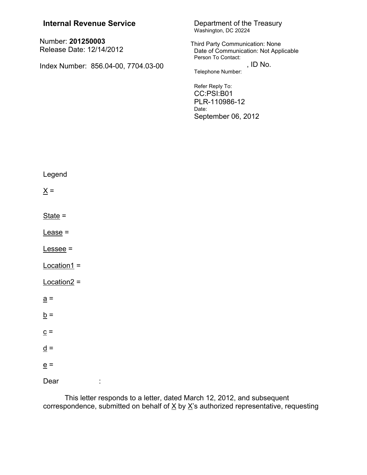| <b>Internal Revenue Service</b>               | Department of the Treasury<br>Washington, DC 20224                                             |
|-----------------------------------------------|------------------------------------------------------------------------------------------------|
| Number: 201250003<br>Release Date: 12/14/2012 | Third Party Communication: None<br>Date of Communication: Not Applicable<br>Person To Contact: |
| Index Number: 856.04-00, 7704.03-00           | , ID No.<br>Telephone Number:                                                                  |
|                                               | Refer Reply To:<br>CC:PSI:B01<br>PLR-110986-12<br>Date:<br>September 06, 2012                  |
| Legend                                        |                                                                                                |
| $\underline{X} =$                             |                                                                                                |
| $State =$                                     |                                                                                                |
| $Lease =$                                     |                                                                                                |
| $Lessee =$                                    |                                                                                                |
| $Location1 =$                                 |                                                                                                |
| $Location2 =$                                 |                                                                                                |
| $\underline{a}$ =                             |                                                                                                |
| $\underline{b} =$                             |                                                                                                |
| $\underline{c}$ =                             |                                                                                                |
| $\underline{d}$ =                             |                                                                                                |
| $\underline{e}$ =                             |                                                                                                |
| Dear                                          |                                                                                                |
|                                               |                                                                                                |

This letter responds to a letter, dated March 12, 2012, and subsequent correspondence, submitted on behalf of  $\underline{X}$  by  $\underline{X}$ 's authorized representative, requesting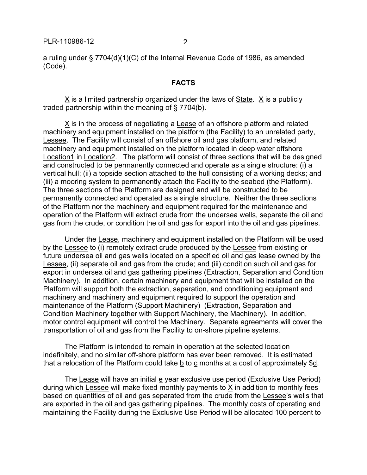a ruling under § 7704(d)(1)(C) of the Internal Revenue Code of 1986, as amended (Code).

#### **FACTS**

X is a limited partnership organized under the laws of State. X is a publicly traded partnership within the meaning of § 7704(b).

X is in the process of negotiating a Lease of an offshore platform and related machinery and equipment installed on the platform (the Facility) to an unrelated party, Lessee. The Facility will consist of an offshore oil and gas platform, and related machinery and equipment installed on the platform located in deep water offshore Location1 in Location2. The platform will consist of three sections that will be designed and constructed to be permanently connected and operate as a single structure: (i) a vertical hull; (ii) a topside section attached to the hull consisting of a working decks; and (iii) a mooring system to permanently attach the Facility to the seabed (the Platform). The three sections of the Platform are designed and will be constructed to be permanently connected and operated as a single structure. Neither the three sections of the Platform nor the machinery and equipment required for the maintenance and operation of the Platform will extract crude from the undersea wells, separate the oil and gas from the crude, or condition the oil and gas for export into the oil and gas pipelines.

Under the Lease, machinery and equipment installed on the Platform will be used by the Lessee to (i) remotely extract crude produced by the Lessee from existing or future undersea oil and gas wells located on a specified oil and gas lease owned by the Lessee, (ii) separate oil and gas from the crude; and (iii) condition such oil and gas for export in undersea oil and gas gathering pipelines (Extraction, Separation and Condition Machinery). In addition, certain machinery and equipment that will be installed on the Platform will support both the extraction, separation, and conditioning equipment and machinery and machinery and equipment required to support the operation and maintenance of the Platform (Support Machinery) (Extraction, Separation and Condition Machinery together with Support Machinery, the Machinery). In addition, motor control equipment will control the Machinery. Separate agreements will cover the transportation of oil and gas from the Facility to on-shore pipeline systems.

The Platform is intended to remain in operation at the selected location indefinitely, and no similar off-shore platform has ever been removed. It is estimated that a relocation of the Platform could take b to c months at a cost of approximately \$d.

The Lease will have an initial e year exclusive use period (Exclusive Use Period) during which Lessee will make fixed monthly payments to X in addition to monthly fees based on quantities of oil and gas separated from the crude from the Lessee's wells that are exported in the oil and gas gathering pipelines. The monthly costs of operating and maintaining the Facility during the Exclusive Use Period will be allocated 100 percent to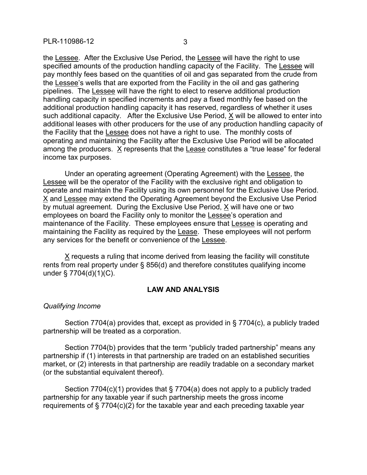the Lessee. After the Exclusive Use Period, the Lessee will have the right to use specified amounts of the production handling capacity of the Facility. The Lessee will pay monthly fees based on the quantities of oil and gas separated from the crude from the Lessee's wells that are exported from the Facility in the oil and gas gathering pipelines. The Lessee will have the right to elect to reserve additional production handling capacity in specified increments and pay a fixed monthly fee based on the additional production handling capacity it has reserved, regardless of whether it uses such additional capacity. After the Exclusive Use Period, X will be allowed to enter into additional leases with other producers for the use of any production handling capacity of the Facility that the Lessee does not have a right to use. The monthly costs of operating and maintaining the Facility after the Exclusive Use Period will be allocated among the producers. X represents that the Lease constitutes a "true lease" for federal income tax purposes.

Under an operating agreement (Operating Agreement) with the Lessee, the Lessee will be the operator of the Facility with the exclusive right and obligation to operate and maintain the Facility using its own personnel for the Exclusive Use Period. X and Lessee may extend the Operating Agreement beyond the Exclusive Use Period by mutual agreement. During the Exclusive Use Period, X will have one or two employees on board the Facility only to monitor the Lessee's operation and maintenance of the Facility. These employees ensure that Lessee is operating and maintaining the Facility as required by the Lease. These employees will not perform any services for the benefit or convenience of the Lessee.

X requests a ruling that income derived from leasing the facility will constitute rents from real property under § 856(d) and therefore constitutes qualifying income under § 7704(d)(1)(C).

# **LAW AND ANALYSIS**

### *Qualifying Income*

Section 7704(a) provides that, except as provided in § 7704(c), a publicly traded partnership will be treated as a corporation.

Section 7704(b) provides that the term "publicly traded partnership" means any partnership if (1) interests in that partnership are traded on an established securities market, or (2) interests in that partnership are readily tradable on a secondary market (or the substantial equivalent thereof).

Section 7704(c)(1) provides that § 7704(a) does not apply to a publicly traded partnership for any taxable year if such partnership meets the gross income requirements of § 7704(c)(2) for the taxable year and each preceding taxable year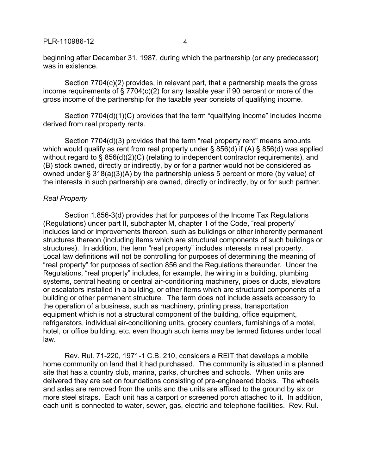PLR-110986-12 4

beginning after December 31, 1987, during which the partnership (or any predecessor) was in existence.

Section 7704(c)(2) provides, in relevant part, that a partnership meets the gross income requirements of § 7704(c)(2) for any taxable year if 90 percent or more of the gross income of the partnership for the taxable year consists of qualifying income.

Section 7704(d)(1)(C) provides that the term "qualifying income" includes income derived from real property rents.

Section 7704(d)(3) provides that the term "real property rent" means amounts which would qualify as rent from real property under § 856(d) if (A) § 856(d) was applied without regard to § 856(d)(2)(C) (relating to independent contractor requirements), and (B) stock owned, directly or indirectly, by or for a partner would not be considered as owned under § 318(a)(3)(A) by the partnership unless 5 percent or more (by value) of the interests in such partnership are owned, directly or indirectly, by or for such partner.

### *Real Property*

Section 1.856-3(d) provides that for purposes of the Income Tax Regulations (Regulations) under part II, subchapter M, chapter 1 of the Code, "real property" includes land or improvements thereon, such as buildings or other inherently permanent structures thereon (including items which are structural components of such buildings or structures). In addition, the term "real property" includes interests in real property. Local law definitions will not be controlling for purposes of determining the meaning of "real property" for purposes of section 856 and the Regulations thereunder. Under the Regulations, "real property" includes, for example, the wiring in a building, plumbing systems, central heating or central air-conditioning machinery, pipes or ducts, elevators or escalators installed in a building, or other items which are structural components of a building or other permanent structure. The term does not include assets accessory to the operation of a business, such as machinery, printing press, transportation equipment which is not a structural component of the building, office equipment, refrigerators, individual air-conditioning units, grocery counters, furnishings of a motel, hotel, or office building, etc. even though such items may be termed fixtures under local law.

Rev. Rul. 71-220, 1971-1 C.B. 210, considers a REIT that develops a mobile home community on land that it had purchased. The community is situated in a planned site that has a country club, marina, parks, churches and schools. When units are delivered they are set on foundations consisting of pre-engineered blocks. The wheels and axles are removed from the units and the units are affixed to the ground by six or more steel straps. Each unit has a carport or screened porch attached to it. In addition, each unit is connected to water, sewer, gas, electric and telephone facilities. Rev. Rul.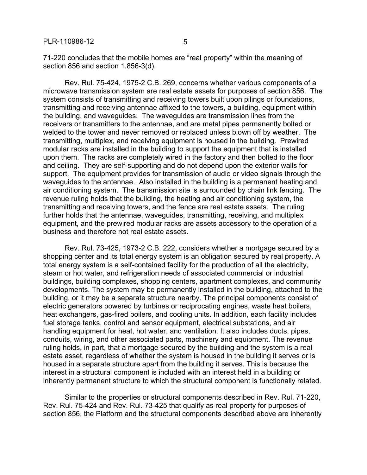71-220 concludes that the mobile homes are "real property" within the meaning of section 856 and section 1.856-3(d).

Rev. Rul. 75-424, 1975-2 C.B. 269, concerns whether various components of a microwave transmission system are real estate assets for purposes of section 856. The system consists of transmitting and receiving towers built upon pilings or foundations, transmitting and receiving antennae affixed to the towers, a building, equipment within the building, and waveguides. The waveguides are transmission lines from the receivers or transmitters to the antennae, and are metal pipes permanently bolted or welded to the tower and never removed or replaced unless blown off by weather. The transmitting, multiplex, and receiving equipment is housed in the building. Prewired modular racks are installed in the building to support the equipment that is installed upon them. The racks are completely wired in the factory and then bolted to the floor and ceiling. They are self-supporting and do not depend upon the exterior walls for support. The equipment provides for transmission of audio or video signals through the waveguides to the antennae. Also installed in the building is a permanent heating and air conditioning system. The transmission site is surrounded by chain link fencing. The revenue ruling holds that the building, the heating and air conditioning system, the transmitting and receiving towers, and the fence are real estate assets. The ruling further holds that the antennae, waveguides, transmitting, receiving, and multiplex equipment, and the prewired modular racks are assets accessory to the operation of a business and therefore not real estate assets.

Rev. Rul. 73-425, 1973-2 C.B. 222, considers whether a mortgage secured by a shopping center and its total energy system is an obligation secured by real property. A total energy system is a self-contained facility for the production of all the electricity, steam or hot water, and refrigeration needs of associated commercial or industrial buildings, building complexes, shopping centers, apartment complexes, and community developments. The system may be permanently installed in the building, attached to the building, or it may be a separate structure nearby. The principal components consist of electric generators powered by turbines or reciprocating engines, waste heat boilers, heat exchangers, gas-fired boilers, and cooling units. In addition, each facility includes fuel storage tanks, control and sensor equipment, electrical substations, and air handling equipment for heat, hot water, and ventilation. It also includes ducts, pipes, conduits, wiring, and other associated parts, machinery and equipment. The revenue ruling holds, in part, that a mortgage secured by the building and the system is a real estate asset, regardless of whether the system is housed in the building it serves or is housed in a separate structure apart from the building it serves. This is because the interest in a structural component is included with an interest held in a building or inherently permanent structure to which the structural component is functionally related.

Similar to the properties or structural components described in Rev. Rul. 71-220, Rev. Rul. 75-424 and Rev. Rul. 73-425 that qualify as real property for purposes of section 856, the Platform and the structural components described above are inherently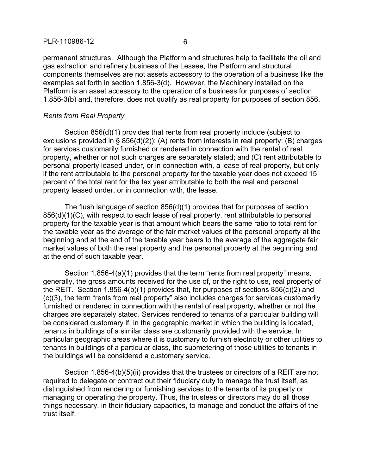#### PLR-110986-12 6

permanent structures. Although the Platform and structures help to facilitate the oil and gas extraction and refinery business of the Lessee, the Platform and structural components themselves are not assets accessory to the operation of a business like the examples set forth in section 1.856-3(d). However, the Machinery installed on the Platform is an asset accessory to the operation of a business for purposes of section 1.856-3(b) and, therefore, does not qualify as real property for purposes of section 856.

## *Rents from Real Property*

Section 856(d)(1) provides that rents from real property include (subject to exclusions provided in § 856(d)(2)): (A) rents from interests in real property; (B) charges for services customarily furnished or rendered in connection with the rental of real property, whether or not such charges are separately stated; and (C) rent attributable to personal property leased under, or in connection with, a lease of real property, but only if the rent attributable to the personal property for the taxable year does not exceed 15 percent of the total rent for the tax year attributable to both the real and personal property leased under, or in connection with, the lease.

The flush language of section 856(d)(1) provides that for purposes of section 856(d)(1)(C), with respect to each lease of real property, rent attributable to personal property for the taxable year is that amount which bears the same ratio to total rent for the taxable year as the average of the fair market values of the personal property at the beginning and at the end of the taxable year bears to the average of the aggregate fair market values of both the real property and the personal property at the beginning and at the end of such taxable year.

Section 1.856-4(a)(1) provides that the term "rents from real property" means, generally, the gross amounts received for the use of, or the right to use, real property of the REIT. Section 1.856-4(b)(1) provides that, for purposes of sections 856(c)(2) and (c)(3), the term "rents from real property" also includes charges for services customarily furnished or rendered in connection with the rental of real property, whether or not the charges are separately stated. Services rendered to tenants of a particular building will be considered customary if, in the geographic market in which the building is located, tenants in buildings of a similar class are customarily provided with the service. In particular geographic areas where it is customary to furnish electricity or other utilities to tenants in buildings of a particular class, the submetering of those utilities to tenants in the buildings will be considered a customary service.

Section 1.856-4(b)(5)(ii) provides that the trustees or directors of a REIT are not required to delegate or contract out their fiduciary duty to manage the trust itself, as distinguished from rendering or furnishing services to the tenants of its property or managing or operating the property. Thus, the trustees or directors may do all those things necessary, in their fiduciary capacities, to manage and conduct the affairs of the trust itself.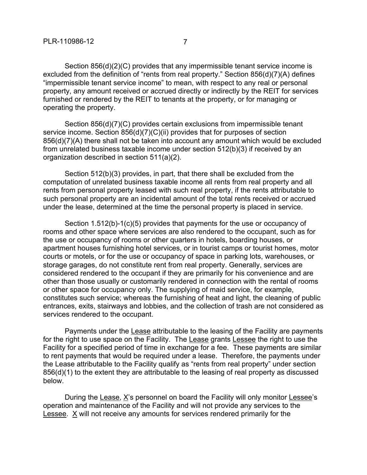Section 856(d)(2)(C) provides that any impermissible tenant service income is excluded from the definition of "rents from real property." Section 856(d)(7)(A) defines "impermissible tenant service income" to mean, with respect to any real or personal property, any amount received or accrued directly or indirectly by the REIT for services furnished or rendered by the REIT to tenants at the property, or for managing or operating the property.

Section 856(d)(7)(C) provides certain exclusions from impermissible tenant service income. Section 856(d)(7)(C)(ii) provides that for purposes of section 856(d)(7)(A) there shall not be taken into account any amount which would be excluded from unrelated business taxable income under section 512(b)(3) if received by an organization described in section 511(a)(2).

Section 512(b)(3) provides, in part, that there shall be excluded from the computation of unrelated business taxable income all rents from real property and all rents from personal property leased with such real property, if the rents attributable to such personal property are an incidental amount of the total rents received or accrued under the lease, determined at the time the personal property is placed in service.

Section 1.512(b)-1(c)(5) provides that payments for the use or occupancy of rooms and other space where services are also rendered to the occupant, such as for the use or occupancy of rooms or other quarters in hotels, boarding houses, or apartment houses furnishing hotel services, or in tourist camps or tourist homes, motor courts or motels, or for the use or occupancy of space in parking lots, warehouses, or storage garages, do not constitute rent from real property. Generally, services are considered rendered to the occupant if they are primarily for his convenience and are other than those usually or customarily rendered in connection with the rental of rooms or other space for occupancy only. The supplying of maid service, for example, constitutes such service; whereas the furnishing of heat and light, the cleaning of public entrances, exits, stairways and lobbies, and the collection of trash are not considered as services rendered to the occupant.

Payments under the Lease attributable to the leasing of the Facility are payments for the right to use space on the Facility. The Lease grants Lessee the right to use the Facility for a specified period of time in exchange for a fee. These payments are similar to rent payments that would be required under a lease. Therefore, the payments under the Lease attributable to the Facility qualify as "rents from real property" under section 856(d)(1) to the extent they are attributable to the leasing of real property as discussed below.

During the Lease, X's personnel on board the Facility will only monitor Lessee's operation and maintenance of the Facility and will not provide any services to the Lessee. X will not receive any amounts for services rendered primarily for the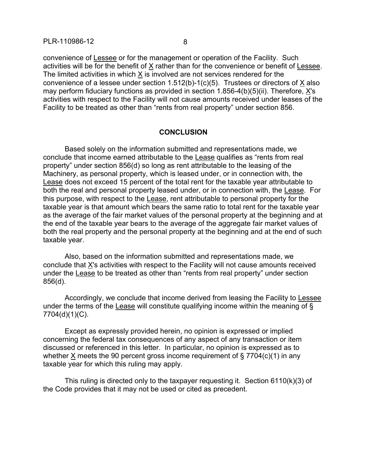convenience of Lessee or for the management or operation of the Facility. Such activities will be for the benefit of X rather than for the convenience or benefit of Lessee. The limited activities in which X is involved are not services rendered for the convenience of a lessee under section  $1.512(b)-1(c)(5)$ . Trustees or directors of  $\underline{X}$  also may perform fiduciary functions as provided in section 1.856-4(b)(5)(ii). Therefore, X's activities with respect to the Facility will not cause amounts received under leases of the Facility to be treated as other than "rents from real property" under section 856.

#### **CONCLUSION**

Based solely on the information submitted and representations made, we conclude that income earned attributable to the Lease qualifies as "rents from real property" under section 856(d) so long as rent attributable to the leasing of the Machinery, as personal property, which is leased under, or in connection with, the Lease does not exceed 15 percent of the total rent for the taxable year attributable to both the real and personal property leased under, or in connection with, the Lease. For this purpose, with respect to the Lease, rent attributable to personal property for the taxable year is that amount which bears the same ratio to total rent for the taxable year as the average of the fair market values of the personal property at the beginning and at the end of the taxable year bears to the average of the aggregate fair market values of both the real property and the personal property at the beginning and at the end of such taxable year.

Also, based on the information submitted and representations made, we conclude that X's activities with respect to the Facility will not cause amounts received under the Lease to be treated as other than "rents from real property" under section 856(d).

Accordingly, we conclude that income derived from leasing the Facility to Lessee under the terms of the Lease will constitute qualifying income within the meaning of § 7704(d)(1)(C).

Except as expressly provided herein, no opinion is expressed or implied concerning the federal tax consequences of any aspect of any transaction or item discussed or referenced in this letter. In particular, no opinion is expressed as to whether X meets the 90 percent gross income requirement of § 7704(c)(1) in any taxable year for which this ruling may apply.

This ruling is directed only to the taxpayer requesting it. Section 6110(k)(3) of the Code provides that it may not be used or cited as precedent.